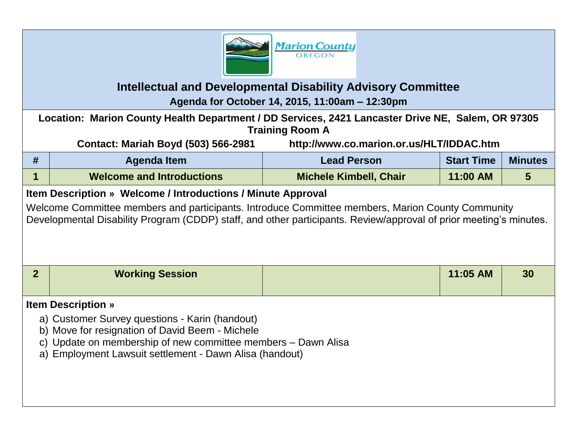

## **Intellectual and Developmental Disability Advisory Committee**

**Agenda for October 14, 2015, 11:00am – 12:30pm**

**Location: Marion County Health Department / DD Services, 2421 Lancaster Drive NE, Salem, OR 97305 Training Room A**

**Contact: Mariah Boyd (503) 566-2981 http://www.co.marion.or.us/HLT/IDDAC.htm**

| Agenda Item                      | <b>Lead Person</b>            | <b>Start Time</b> | <b>Minutes</b> |
|----------------------------------|-------------------------------|-------------------|----------------|
| <b>Welcome and Introductions</b> | <b>Michele Kimbell, Chair</b> | 11:00 AM          |                |

## **Item Description » Welcome / Introductions / Minute Approval**

Welcome Committee members and participants. Introduce Committee members, Marion County Community Developmental Disability Program (CDDP) staff, and other participants. Review/approval of prior meeting's minutes.

| <b>Working Session</b> | 11:05 AM | 30 |
|------------------------|----------|----|
|                        |          |    |

## **Item Description »**

- a) Customer Survey questions Karin (handout)
- b) Move for resignation of David Beem Michele
- c) Update on membership of new committee members Dawn Alisa
- a) Employment Lawsuit settlement Dawn Alisa (handout)